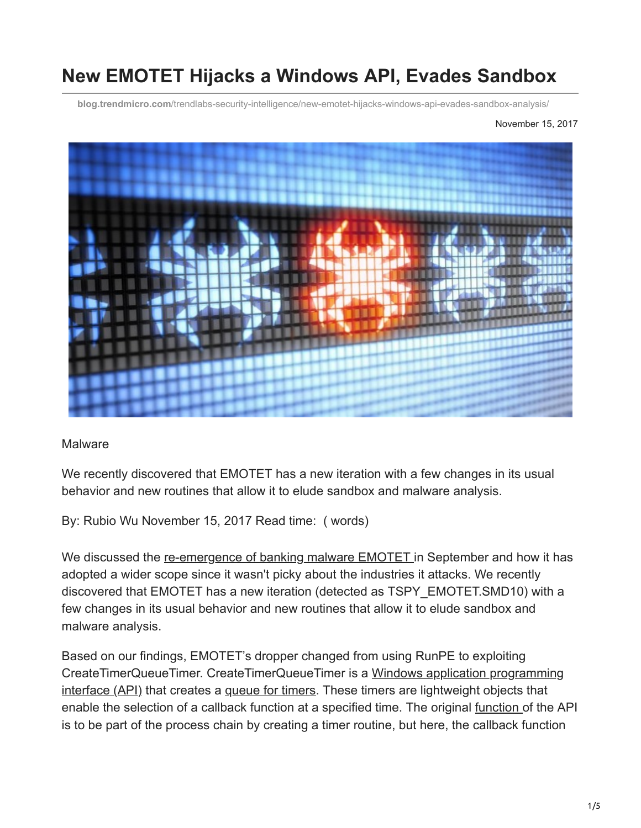# **New EMOTET Hijacks a Windows API, Evades Sandbox**

**blog.trendmicro.com**[/trendlabs-security-intelligence/new-emotet-hijacks-windows-api-evades-sandbox-analysis/](https://blog.trendmicro.com/trendlabs-security-intelligence/new-emotet-hijacks-windows-api-evades-sandbox-analysis/)

November 15, 2017



#### **Malware**

We recently discovered that EMOTET has a new iteration with a few changes in its usual behavior and new routines that allow it to elude sandbox and malware analysis.

By: Rubio Wu November 15, 2017 Read time: ( words)

We discussed the [re-emergence of banking malware EMOTET](http://blog.trendmicro.com/trendlabs-security-intelligence/emotet-returns-starts-spreading-via-spam-botnet/) in September and how it has adopted a wider scope since it wasn't picky about the industries it attacks. We recently discovered that EMOTET has a new iteration (detected as TSPY\_EMOTET.SMD10) with a few changes in its usual behavior and new routines that allow it to elude sandbox and malware analysis.

Based on our findings, EMOTET's dropper changed from using RunPE to exploiting [CreateTimerQueueTimer. CreateTimerQueueTimer is a Windows application programming](https://msdn.microsoft.com/en-us/library/windows/desktop/ff818516(v=vs.85).aspx) interface (API) that creates a [queue for timers.](https://msdn.microsoft.com/en-us/library/windows/desktop/ms686796(v=vs.85).aspx) These timers are lightweight objects that enable the selection of a callback function at a specified time. The original [function o](https://www.cyphort.com/hancitors-exploitation-of-win32-apis/)f the API is to be part of the process chain by creating a timer routine, but here, the callback function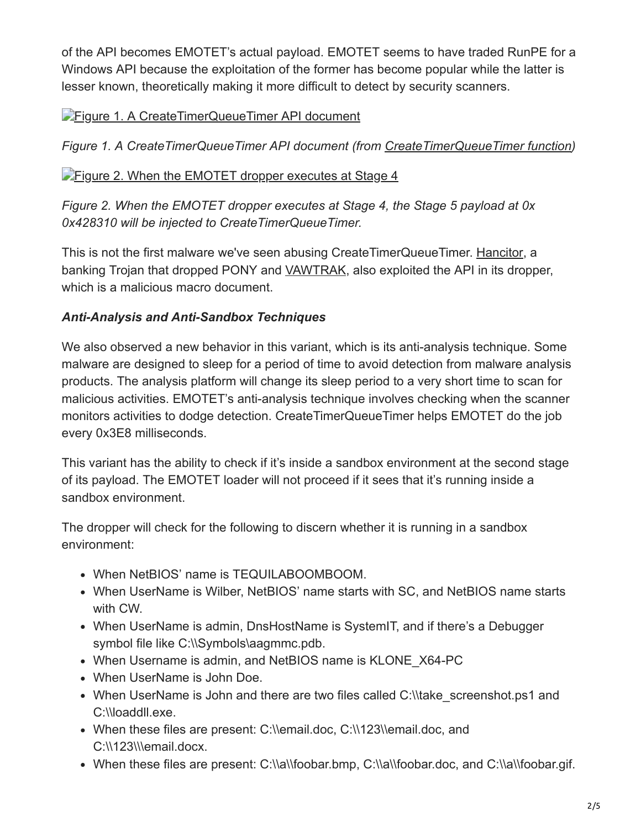of the API becomes EMOTET's actual payload. EMOTET seems to have traded RunPE for a Windows API because the exploitation of the former has become popular while the latter is lesser known, theoretically making it more difficult to detect by security scanners.

# **[Figure 1. A CreateTimerQueueTimer API document](https://blog.trendmicro.com/content/dam/trendmicro/global/en/migrated/security-intelligence-migration-spreadsheet/trendlabs-security-intelligence/2017/11/171114Emotet_01.jpg)**

*Figure 1. A CreateTimerQueueTimer API document (from [CreateTimerQueueTimer function](https://msdn.microsoft.com/zh-tw/library/windows/desktop/ms682485(v=vs.85).aspx))*

### **[Figure 2. When the EMOTET dropper executes at Stage 4](https://blog.trendmicro.com/content/dam/trendmicro/global/en/migrated/security-intelligence-migration-spreadsheet/trendlabs-security-intelligence/2017/11/171114Emotet_02.jpg)**

*Figure 2. When the EMOTET dropper executes at Stage 4, the Stage 5 payload at 0x 0x428310 will be injected to CreateTimerQueueTimer.*

This is not the first malware we've seen abusing CreateTimerQueueTimer. [Hancitor,](https://success.trendmicro.com/solution/1115383-emerging-threat-on-hancitor)) a banking Trojan that dropped PONY and [VAWTRAK,](http://blog.trendmicro.com/trendlabs-security-intelligence/banking-malware-vawtrak-now-uses-malicious-macros-abuses-windows-powershell/) also exploited the API in its dropper, which is a malicious macro document.

# *Anti-Analysis and Anti-Sandbox Techniques*

We also observed a new behavior in this variant, which is its anti-analysis technique. Some malware are designed to sleep for a period of time to avoid detection from malware analysis products. The analysis platform will change its sleep period to a very short time to scan for malicious activities. EMOTET's anti-analysis technique involves checking when the scanner monitors activities to dodge detection. CreateTimerQueueTimer helps EMOTET do the job every 0x3E8 milliseconds.

This variant has the ability to check if it's inside a sandbox environment at the second stage of its payload. The EMOTET loader will not proceed if it sees that it's running inside a sandbox environment.

The dropper will check for the following to discern whether it is running in a sandbox environment:

- When NetBIOS' name is TEQUILABOOMBOOM.
- When UserName is Wilber, NetBIOS' name starts with SC, and NetBIOS name starts with CW.
- When UserName is admin, DnsHostName is SystemIT, and if there's a Debugger symbol file like C:\\Symbols\aagmmc.pdb.
- When Username is admin, and NetBIOS name is KLONE X64-PC
- When UserName is John Doe.
- When UserName is John and there are two files called C:\\take screenshot.ps1 and C:\\loaddll.exe.
- When these files are present: C:\\email.doc, C:\\123\\email.doc, and C:\\123\\\email.docx.
- When these files are present: C:\\a\\foobar.bmp, C:\\a\\foobar.doc, and C:\\a\\foobar.gif.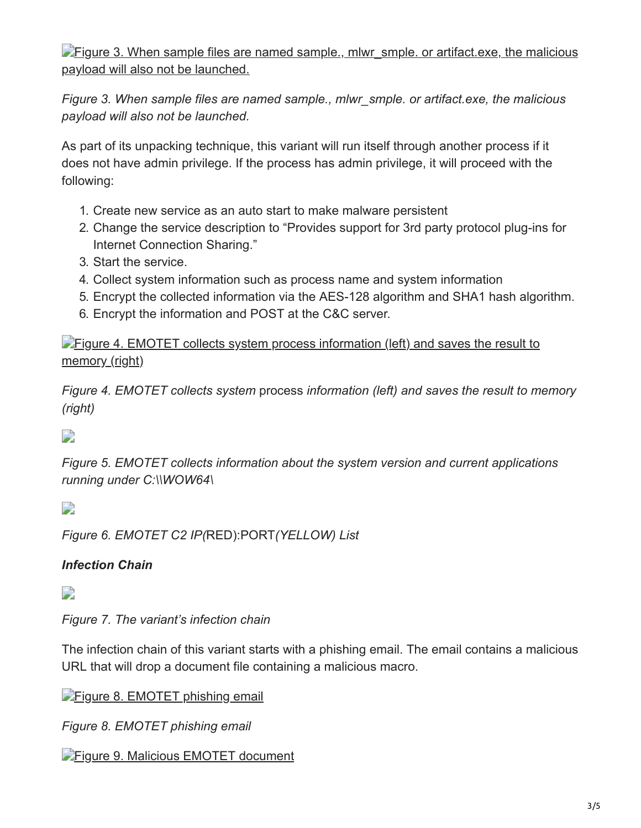$\blacktriangleright$  Figure 3. When sample files are named sample., mlwr smple. or artifact.exe, the malicious payload will also not be launched.

*Figure 3. When sample files are named sample., mlwr\_smple. or artifact.exe, the malicious payload will also not be launched.*

As part of its unpacking technique, this variant will run itself through another process if it does not have admin privilege. If the process has admin privilege, it will proceed with the following:

- 1. Create new service as an auto start to make malware persistent
- 2. Change the service description to "Provides support for 3rd party protocol plug-ins for Internet Connection Sharing."
- 3. Start the service.
- 4. Collect system information such as process name and system information
- 5. Encrypt the collected information via the AES-128 algorithm and SHA1 hash algorithm.
- 6. Encrypt the information and POST at the C&C server.

**[Figure 4. EMOTET collects system process information \(left\) and saves the result to](https://blog.trendmicro.com/content/dam/trendmicro/global/en/migrated/security-intelligence-migration-spreadsheet/trendlabs-security-intelligence/2017/11/171114Emotet_04.jpg)** memory (right)

*Figure 4. EMOTET collects system* process *information (left) and saves the result to memory (right)*

 $\overline{\phantom{a}}$ 

*Figure 5. EMOTET collects information about the system version and current applications running under C:\\WOW64\*

 $\overline{\phantom{a}}$ 

*Figure 6. EMOTET C2 IP(*RED):PORT*(YELLOW) List*

# *Infection Chain*

 $\Box$ 

*Figure 7. The variant's infection chain*

The infection chain of this variant starts with a phishing email. The email contains a malicious URL that will drop a document file containing a malicious macro.

**[Figure 8. EMOTET phishing email](https://blog.trendmicro.com/content/dam/trendmicro/global/en/migrated/security-intelligence-migration-spreadsheet/trendlabs-security-intelligence/2017/11/171114Emotet_08.jpg)** 

*Figure 8. EMOTET phishing email*

**[Figure 9. Malicious EMOTET document](https://blog.trendmicro.com/content/dam/trendmicro/global/en/migrated/security-intelligence-migration-spreadsheet/trendlabs-security-intelligence/2017/11/171114Emotet_09.jpg)**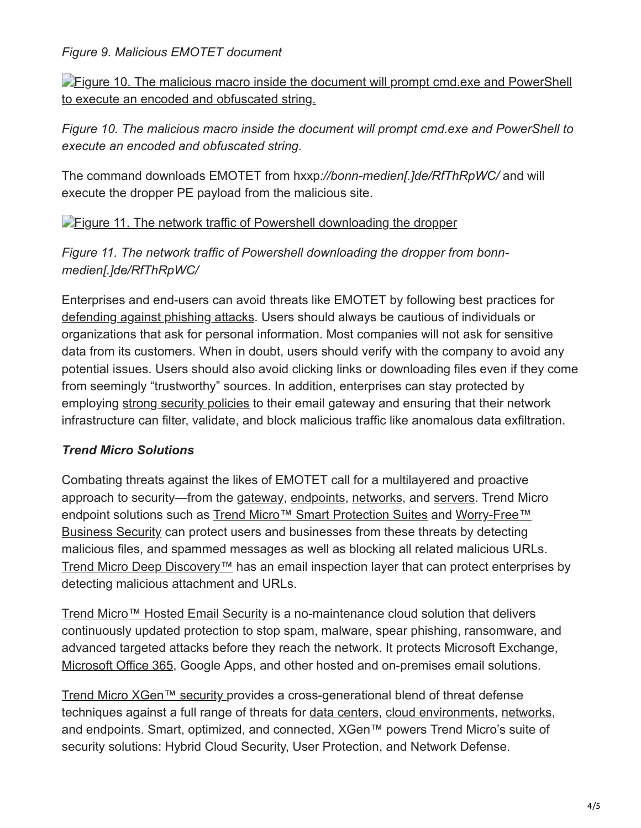*Figure 9. Malicious EMOTET document*

**[Figure 10. The malicious macro inside the document will prompt cmd.exe and PowerShell](https://blog.trendmicro.com/content/dam/trendmicro/global/en/migrated/security-intelligence-migration-spreadsheet/trendlabs-security-intelligence/2017/11/171114Emotet_10.jpg)** to execute an encoded and obfuscated string.

*Figure 10. The malicious macro inside the document will prompt cmd.exe and PowerShell to execute an encoded and obfuscated string.*

The command downloads EMOTET from hxxp*://bonn-medien[.]de/RfThRpWC/* and will execute the dropper PE payload from the malicious site.

**[Figure 11. The network traffic of Powershell downloading the dropper](https://blog.trendmicro.com/content/dam/trendmicro/global/en/migrated/security-intelligence-migration-spreadsheet/trendlabs-security-intelligence/2017/11/171114Emotet_11.jpg)** 

*Figure 11. The network traffic of Powershell downloading the dropper from bonnmedien[.]de/RfThRpWC/*

Enterprises and end-users can avoid threats like EMOTET by following best practices for [defending against phishing attacks](https://www.trendmicro.com/vinfo/us/security/news/cybercrime-and-digital-threats/best-practices-identifying-and-mitigating-phishing-attacks). Users should always be cautious of individuals or organizations that ask for personal information. Most companies will not ask for sensitive data from its customers. When in doubt, users should verify with the company to avoid any potential issues. Users should also avoid clicking links or downloading files even if they come from seemingly "trustworthy" sources. In addition, enterprises can stay protected by employing [strong security policies](https://www.trendmicro.com/vinfo/us/security/news/cybercrime-and-digital-threats/infosec-guide-email-threats) to their email gateway and ensuring that their network infrastructure can filter, validate, and block malicious traffic like anomalous data exfiltration.

# *Trend Micro Solutions*

Combating threats against the likes of EMOTET call for a multilayered and proactive approach to security—from the [gateway](https://blog.trendmicro.com/en_us/business/products/user-protection/sps.html), [endpoints,](https://blog.trendmicro.com/en_us/business/products/user-protection/sps.html) [networks,](https://blog.trendmicro.com/en_us/business/products/network/advanced-threat-protection.html) and [servers.](https://blog.trendmicro.com/en_us/business/products/hybrid-cloud.html) Trend Micro [endpoint solutions such as T](https://blog.trendmicro.com/en_us/small-business/worry-free-services-suites.html)[rend Micro™ Smart Protection Suites](https://blog.trendmicro.com/en_us/business/products/user-protection/sps.html) [and Worry-Free™](https://blog.trendmicro.com/en_us/small-business/worry-free-services-suites.html) Business Security can protect users and businesses from these threats by detecting malicious files, and spammed messages as well as blocking all related malicious URLs. [Trend Micro Deep Discovery™](https://blog.trendmicro.com/en_us/business/products/network/advanced-threat-protection.html) has an email inspection layer that can protect enterprises by detecting malicious attachment and URLs.

[Trend Micro™ Hosted Email Security](https://blog.trendmicro.com/en_us/business/products/user-protection/sps/email-and-collaboration/email-security.html) is a no-maintenance cloud solution that delivers continuously updated protection to stop spam, malware, spear phishing, ransomware, and advanced targeted attacks before they reach the network. It protects Microsoft Exchange, [Microsoft Office 365,](https://blog.trendmicro.com/en_us/business/products/user-protection/sps/email-and-collaboration/cloud-app-security.html) Google Apps, and other hosted and on-premises email solutions.

[Trend Micro XGen™ security p](https://blog.trendmicro.com/en_us/business/products/all-solutions.html)rovides a cross-generational blend of threat defense techniques against a full range of threats for [data centers,](https://blog.trendmicro.com/en_us/business/products/hybrid-cloud/security-data-center-virtualization.html) [cloud environments](https://blog.trendmicro.com/en_us/business/products/hybrid-cloud/cloud-migration-security.html), [networks](https://blog.trendmicro.com/en_us/business/products/network.html), and [endpoints](https://blog.trendmicro.com/en_us/business/products/user-protection.html). Smart, optimized, and connected, XGen™ powers Trend Micro's suite of security solutions: Hybrid Cloud Security, User Protection, and Network Defense.